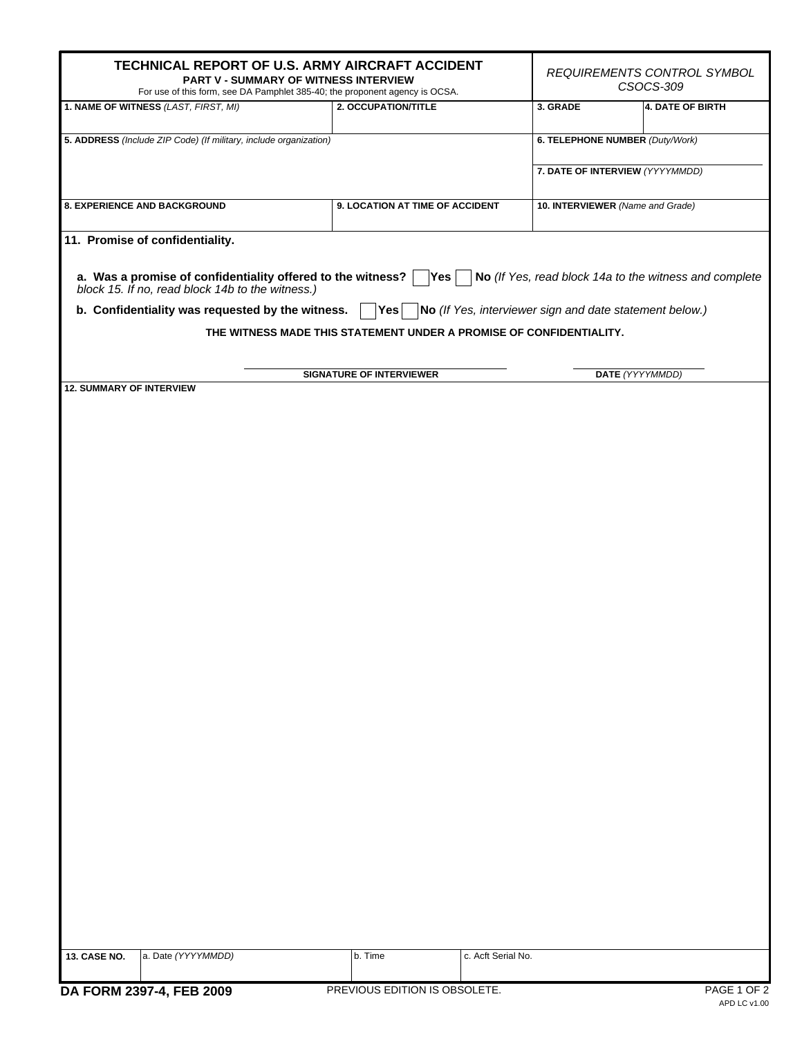|                                                                   | TECHNICAL REPORT OF U.S. ARMY AIRCRAFT ACCIDENT<br>PART V - SUMMARY OF WITNESS INTERVIEW<br>For use of this form, see DA Pamphlet 385-40; the proponent agency is OCSA. | REQUIREMENTS CONTROL SYMBOL<br>CSOCS-309                            |                    |                                  |                                                                                                            |  |
|-------------------------------------------------------------------|-------------------------------------------------------------------------------------------------------------------------------------------------------------------------|---------------------------------------------------------------------|--------------------|----------------------------------|------------------------------------------------------------------------------------------------------------|--|
|                                                                   | 1. NAME OF WITNESS (LAST, FIRST, MI)                                                                                                                                    | 2. OCCUPATION/TITLE                                                 |                    | 3. GRADE                         | 4. DATE OF BIRTH                                                                                           |  |
| 5. ADDRESS (Include ZIP Code) (If military, include organization) |                                                                                                                                                                         |                                                                     |                    | 6. TELEPHONE NUMBER (Duty/Work)  |                                                                                                            |  |
|                                                                   |                                                                                                                                                                         |                                                                     |                    |                                  | 7. DATE OF INTERVIEW (YYYYMMDD)                                                                            |  |
|                                                                   | <b>8. EXPERIENCE AND BACKGROUND</b>                                                                                                                                     | 9. LOCATION AT TIME OF ACCIDENT                                     |                    | 10. INTERVIEWER (Name and Grade) |                                                                                                            |  |
|                                                                   | 11. Promise of confidentiality.                                                                                                                                         |                                                                     |                    |                                  |                                                                                                            |  |
|                                                                   | a. Was a promise of confidentiality offered to the witness? $\begin{bmatrix} \text{block 15. If no, read block 14b to the witness.} \end{bmatrix}$                      |                                                                     |                    |                                  | $\left  \text{Yes} \right $ $\left  \text{No} \right $ (If Yes, read block 14a to the witness and complete |  |
|                                                                   | b. Confidentiality was requested by the witness.                                                                                                                        |                                                                     |                    |                                  | $\vert$ Yes $\vert$ $\vert$ No (If Yes, interviewer sign and date statement below.)                        |  |
|                                                                   |                                                                                                                                                                         | THE WITNESS MADE THIS STATEMENT UNDER A PROMISE OF CONFIDENTIALITY. |                    |                                  |                                                                                                            |  |
|                                                                   |                                                                                                                                                                         |                                                                     |                    |                                  |                                                                                                            |  |
| <b>12. SUMMARY OF INTERVIEW</b>                                   |                                                                                                                                                                         | <b>SIGNATURE OF INTERVIEWER</b>                                     |                    | DATE (YYYYMMDD)                  |                                                                                                            |  |
|                                                                   |                                                                                                                                                                         |                                                                     |                    |                                  |                                                                                                            |  |
|                                                                   |                                                                                                                                                                         |                                                                     |                    |                                  |                                                                                                            |  |
|                                                                   |                                                                                                                                                                         |                                                                     |                    |                                  |                                                                                                            |  |
|                                                                   |                                                                                                                                                                         |                                                                     |                    |                                  |                                                                                                            |  |
|                                                                   |                                                                                                                                                                         |                                                                     |                    |                                  |                                                                                                            |  |
|                                                                   |                                                                                                                                                                         |                                                                     |                    |                                  |                                                                                                            |  |
|                                                                   |                                                                                                                                                                         |                                                                     |                    |                                  |                                                                                                            |  |
|                                                                   |                                                                                                                                                                         |                                                                     |                    |                                  |                                                                                                            |  |
|                                                                   |                                                                                                                                                                         |                                                                     |                    |                                  |                                                                                                            |  |
|                                                                   |                                                                                                                                                                         |                                                                     |                    |                                  |                                                                                                            |  |
|                                                                   |                                                                                                                                                                         |                                                                     |                    |                                  |                                                                                                            |  |
|                                                                   |                                                                                                                                                                         |                                                                     |                    |                                  |                                                                                                            |  |
|                                                                   |                                                                                                                                                                         |                                                                     |                    |                                  |                                                                                                            |  |
|                                                                   |                                                                                                                                                                         |                                                                     |                    |                                  |                                                                                                            |  |
|                                                                   |                                                                                                                                                                         |                                                                     |                    |                                  |                                                                                                            |  |
|                                                                   |                                                                                                                                                                         |                                                                     |                    |                                  |                                                                                                            |  |
|                                                                   |                                                                                                                                                                         |                                                                     |                    |                                  |                                                                                                            |  |
|                                                                   |                                                                                                                                                                         |                                                                     |                    |                                  |                                                                                                            |  |
|                                                                   |                                                                                                                                                                         |                                                                     |                    |                                  |                                                                                                            |  |
|                                                                   |                                                                                                                                                                         |                                                                     |                    |                                  |                                                                                                            |  |
|                                                                   |                                                                                                                                                                         |                                                                     |                    |                                  |                                                                                                            |  |
|                                                                   |                                                                                                                                                                         |                                                                     |                    |                                  |                                                                                                            |  |
|                                                                   |                                                                                                                                                                         |                                                                     |                    |                                  |                                                                                                            |  |
| <b>13. CASE NO.</b>                                               | a. Date (YYYYMMDD)                                                                                                                                                      | b. Time                                                             | c. Acft Serial No. |                                  |                                                                                                            |  |